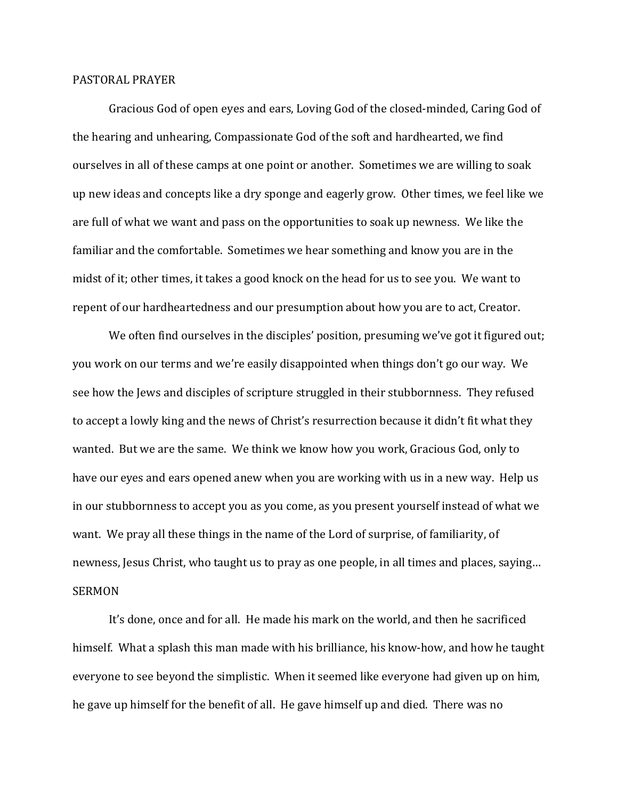## PASTORAL PRAYER

Gracious God of open eyes and ears, Loving God of the closed-minded, Caring God of the hearing and unhearing, Compassionate God of the soft and hardhearted, we find ourselves in all of these camps at one point or another. Sometimes we are willing to soak up new ideas and concepts like a dry sponge and eagerly grow. Other times, we feel like we are full of what we want and pass on the opportunities to soak up newness. We like the familiar and the comfortable. Sometimes we hear something and know you are in the midst of it; other times, it takes a good knock on the head for us to see you. We want to repent of our hardheartedness and our presumption about how you are to act, Creator.

We often find ourselves in the disciples' position, presuming we've got it figured out; you work on our terms and we're easily disappointed when things don't go our way. We see how the Jews and disciples of scripture struggled in their stubbornness. They refused to accept a lowly king and the news of Christ's resurrection because it didn't fit what they wanted. But we are the same. We think we know how you work, Gracious God, only to have our eyes and ears opened anew when you are working with us in a new way. Help us in our stubbornness to accept you as you come, as you present yourself instead of what we want. We pray all these things in the name of the Lord of surprise, of familiarity, of newness, Jesus Christ, who taught us to pray as one people, in all times and places, saying… **SERMON** 

It's done, once and for all. He made his mark on the world, and then he sacrificed himself. What a splash this man made with his brilliance, his know-how, and how he taught everyone to see beyond the simplistic. When it seemed like everyone had given up on him, he gave up himself for the benefit of all. He gave himself up and died. There was no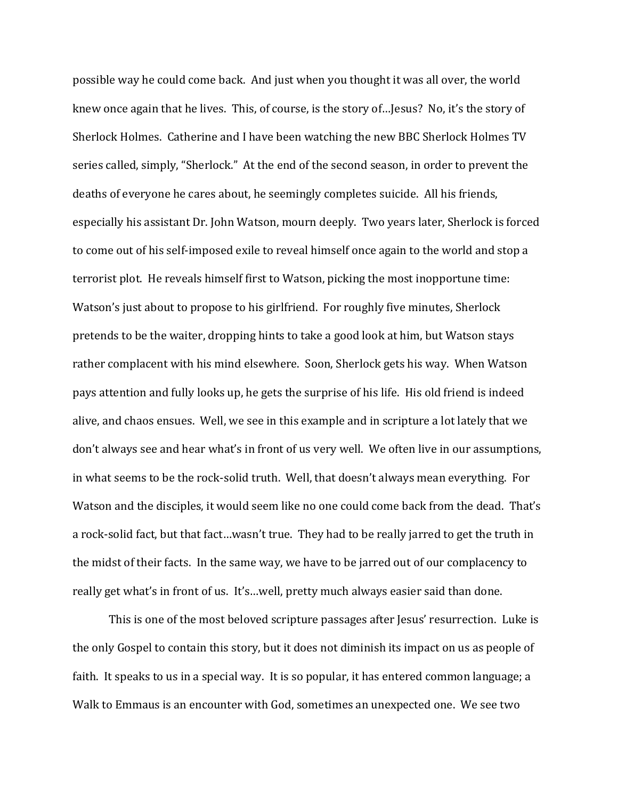possible way he could come back. And just when you thought it was all over, the world knew once again that he lives. This, of course, is the story of…Jesus? No, it's the story of Sherlock Holmes. Catherine and I have been watching the new BBC Sherlock Holmes TV series called, simply, "Sherlock." At the end of the second season, in order to prevent the deaths of everyone he cares about, he seemingly completes suicide. All his friends, especially his assistant Dr. John Watson, mourn deeply. Two years later, Sherlock is forced to come out of his self-imposed exile to reveal himself once again to the world and stop a terrorist plot. He reveals himself first to Watson, picking the most inopportune time: Watson's just about to propose to his girlfriend. For roughly five minutes, Sherlock pretends to be the waiter, dropping hints to take a good look at him, but Watson stays rather complacent with his mind elsewhere. Soon, Sherlock gets his way. When Watson pays attention and fully looks up, he gets the surprise of his life. His old friend is indeed alive, and chaos ensues. Well, we see in this example and in scripture a lot lately that we don't always see and hear what's in front of us very well. We often live in our assumptions, in what seems to be the rock-solid truth. Well, that doesn't always mean everything. For Watson and the disciples, it would seem like no one could come back from the dead. That's a rock-solid fact, but that fact…wasn't true. They had to be really jarred to get the truth in the midst of their facts. In the same way, we have to be jarred out of our complacency to really get what's in front of us. It's…well, pretty much always easier said than done.

This is one of the most beloved scripture passages after Jesus' resurrection. Luke is the only Gospel to contain this story, but it does not diminish its impact on us as people of faith. It speaks to us in a special way. It is so popular, it has entered common language; a Walk to Emmaus is an encounter with God, sometimes an unexpected one. We see two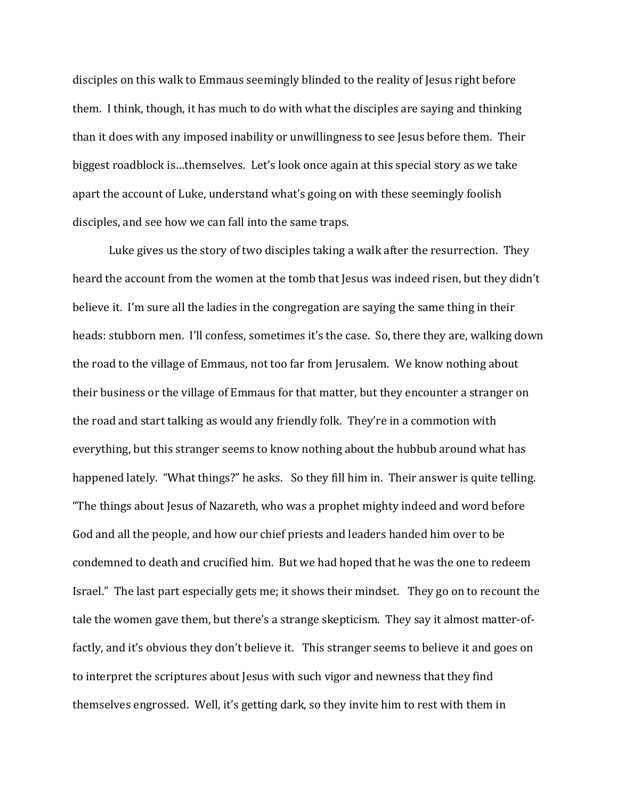disciples on this walk to Emmaus seemingly blinded to the reality of Jesus right before them. I think, though, it has much to do with what the disciples are saying and thinking than it does with any imposed inability or unwillingness to see Jesus before them. Their biggest roadblock is…themselves. Let's look once again at this special story as we take apart the account of Luke, understand what's going on with these seemingly foolish disciples, and see how we can fall into the same traps.

Luke gives us the story of two disciples taking a walk after the resurrection. They heard the account from the women at the tomb that Jesus was indeed risen, but they didn't believe it. I'm sure all the ladies in the congregation are saying the same thing in their heads: stubborn men. I'll confess, sometimes it's the case. So, there they are, walking down the road to the village of Emmaus, not too far from Jerusalem. We know nothing about their business or the village of Emmaus for that matter, but they encounter a stranger on the road and start talking as would any friendly folk. They're in a commotion with everything, but this stranger seems to know nothing about the hubbub around what has happened lately. "What things?" he asks. So they fill him in. Their answer is quite telling. "The things about Jesus of Nazareth, who was a prophet mighty indeed and word before God and all the people, and how our chief priests and leaders handed him over to be condemned to death and crucified him. But we had hoped that he was the one to redeem Israel." The last part especially gets me; it shows their mindset. They go on to recount the tale the women gave them, but there's a strange skepticism. They say it almost matter-offactly, and it's obvious they don't believe it. This stranger seems to believe it and goes on to interpret the scriptures about Jesus with such vigor and newness that they find themselves engrossed. Well, it's getting dark, so they invite him to rest with them in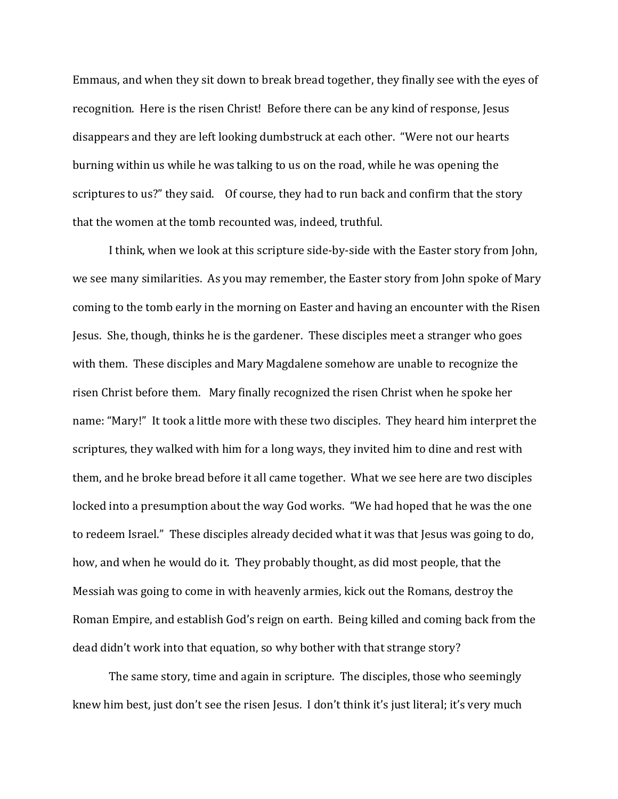Emmaus, and when they sit down to break bread together, they finally see with the eyes of recognition. Here is the risen Christ! Before there can be any kind of response, Jesus disappears and they are left looking dumbstruck at each other. "Were not our hearts burning within us while he was talking to us on the road, while he was opening the scriptures to us?" they said. Of course, they had to run back and confirm that the story that the women at the tomb recounted was, indeed, truthful.

I think, when we look at this scripture side-by-side with the Easter story from John, we see many similarities. As you may remember, the Easter story from John spoke of Mary coming to the tomb early in the morning on Easter and having an encounter with the Risen Jesus. She, though, thinks he is the gardener. These disciples meet a stranger who goes with them. These disciples and Mary Magdalene somehow are unable to recognize the risen Christ before them. Mary finally recognized the risen Christ when he spoke her name: "Mary!" It took a little more with these two disciples. They heard him interpret the scriptures, they walked with him for a long ways, they invited him to dine and rest with them, and he broke bread before it all came together. What we see here are two disciples locked into a presumption about the way God works. "We had hoped that he was the one to redeem Israel." These disciples already decided what it was that Jesus was going to do, how, and when he would do it. They probably thought, as did most people, that the Messiah was going to come in with heavenly armies, kick out the Romans, destroy the Roman Empire, and establish God's reign on earth. Being killed and coming back from the dead didn't work into that equation, so why bother with that strange story?

The same story, time and again in scripture. The disciples, those who seemingly knew him best, just don't see the risen Jesus. I don't think it's just literal; it's very much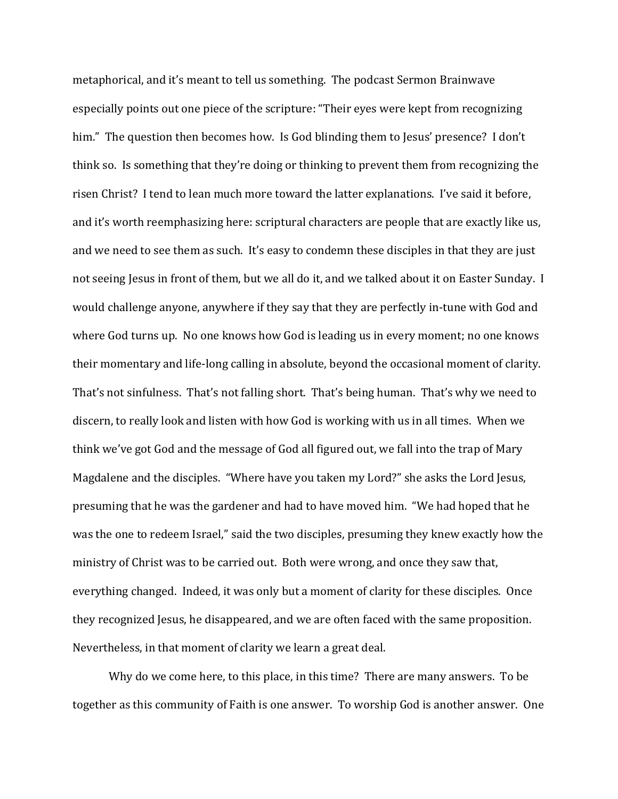metaphorical, and it's meant to tell us something. The podcast Sermon Brainwave especially points out one piece of the scripture: "Their eyes were kept from recognizing him." The question then becomes how. Is God blinding them to Jesus' presence? I don't think so. Is something that they're doing or thinking to prevent them from recognizing the risen Christ? I tend to lean much more toward the latter explanations. I've said it before, and it's worth reemphasizing here: scriptural characters are people that are exactly like us, and we need to see them as such. It's easy to condemn these disciples in that they are just not seeing Jesus in front of them, but we all do it, and we talked about it on Easter Sunday. I would challenge anyone, anywhere if they say that they are perfectly in-tune with God and where God turns up. No one knows how God is leading us in every moment; no one knows their momentary and life-long calling in absolute, beyond the occasional moment of clarity. That's not sinfulness. That's not falling short. That's being human. That's why we need to discern, to really look and listen with how God is working with us in all times. When we think we've got God and the message of God all figured out, we fall into the trap of Mary Magdalene and the disciples. "Where have you taken my Lord?" she asks the Lord Jesus, presuming that he was the gardener and had to have moved him. "We had hoped that he was the one to redeem Israel," said the two disciples, presuming they knew exactly how the ministry of Christ was to be carried out. Both were wrong, and once they saw that, everything changed. Indeed, it was only but a moment of clarity for these disciples. Once they recognized Jesus, he disappeared, and we are often faced with the same proposition. Nevertheless, in that moment of clarity we learn a great deal.

Why do we come here, to this place, in this time? There are many answers. To be together as this community of Faith is one answer. To worship God is another answer. One